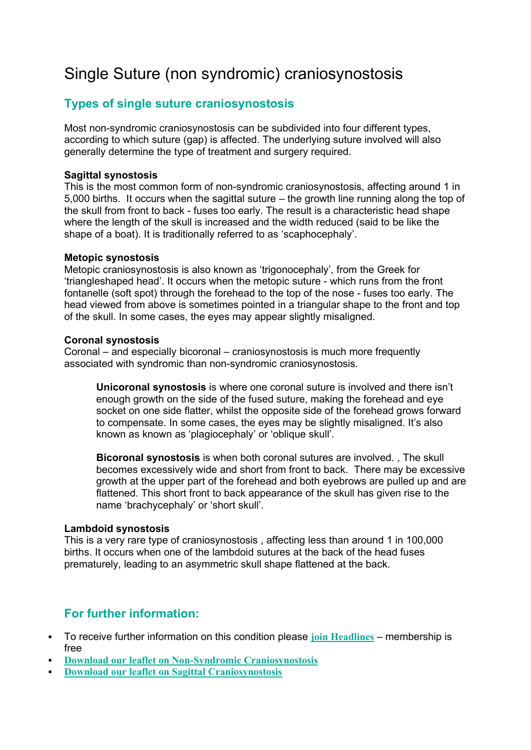# Single Suture (non syndromic) craniosynostosis

## **Types of single suture craniosynostosis**

Most non-syndromic craniosynostosis can be subdivided into four different types, according to which suture (gap) is affected. The underlying suture involved will also generally determine the type of treatment and surgery required.

#### **Sagittal synostosis**

This is the most common form of non-syndromic craniosynostosis, affecting around 1 in 5,000 births. It occurs when the sagittal suture – the growth line running along the top of the skull from front to back - fuses too early. The result is a characteristic head shape where the length of the skull is increased and the width reduced (said to be like the shape of a boat). It is traditionally referred to as 'scaphocephaly'.

#### **Metopic synostosis**

Metopic craniosynostosis is also known as 'trigonocephaly', from the Greek for 'triangleshaped head'. It occurs when the metopic suture - which runs from the front fontanelle (soft spot) through the forehead to the top of the nose - fuses too early. The head viewed from above is sometimes pointed in a triangular shape to the front and top of the skull. In some cases, the eyes may appear slightly misaligned.

#### **Coronal synostosis**

Coronal – and especially bicoronal – craniosynostosis is much more frequently associated with syndromic than non-syndromic craniosynostosis.

**Unicoronal synostosis** is where one coronal suture is involved and there isn't enough growth on the side of the fused suture, making the forehead and eye socket on one side flatter, whilst the opposite side of the forehead grows forward to compensate. In some cases, the eyes may be slightly misaligned. It's also known as known as 'plagiocephaly' or 'oblique skull'.

**Bicoronal synostosis** is when both coronal sutures are involved. , The skull becomes excessively wide and short from front to back. There may be excessive growth at the upper part of the forehead and both eyebrows are pulled up and are flattened. This short front to back appearance of the skull has given rise to the name 'brachycephaly' or 'short skull'.

#### **Lambdoid synostosis**

This is a very rare type of craniosynostosis , affecting less than around 1 in 100,000 births. It occurs when one of the lambdoid sutures at the back of the head fuses prematurely, leading to an asymmetric skull shape flattened at the back.

### **For further information:**

- To receive further information on this condition please **[join Headlines](https://www.headlines.org.uk/how_to_join.asp)** membership is free
- **[Download our leaflet on Non-Syndromic Craniosynostosis](http://headlines.org.uk/Assets/medical-leaflets/Headlines_Leaflet_1_4pp_Af_WEB.pdf)**
- **[Download our leaflet on Sagittal Craniosynostosis](http://headlines.org.uk/Assets/medical-leaflets/Headlines_Leaflet_2_4pp_D5_web.pdf)**